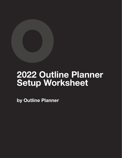

# **2022 Outline Planner Setup Worksheet**

**by Outline Planner**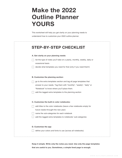## **Make the 2022 Outline Planner YOURS**

This worksheet will help you get clarity on your planning needs to understand how to customize your 2022 outline planner.

| <b>STEP-BY-STEP CHECKLIST</b>                                                                 |
|-----------------------------------------------------------------------------------------------|
| A. Get clarity on your planning needs:                                                        |
| list the type of notes you'll take on a yearly, monthly, weekly, daily or<br>ocassional basis |
| decide what templates you need for that (only if you need them!)                              |
| B. Customize the planning section:                                                            |
| go to the extra templates section and tag all page templates that                             |
| answer to your needs. Tag them with "monthly", "weekly", "daily" or                           |
| "Notebook" to know where you'll place them.                                                   |
| add the tagged extra templates to the planning section                                        |
| C. Customize the built-in color notebooks:                                                    |
| add titles to the color notebooks (leave a few notebooks empty for                            |
| future needs throught the new year)                                                           |
| name the sub-categories for each notebook                                                     |
| add the tagged extra templates to notebooks' sub-categories                                   |
| D. Customize the app                                                                          |
|                                                                                               |

**Keep it simple. Write only the notes you need. Use only the page templates that are useful to you. Sometimes, a simple lined page is enough.**

...: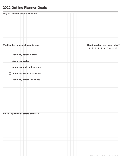## **2022 Outline Planner Goals**

| Why do I use the Outline Planner?      |                                          |
|----------------------------------------|------------------------------------------|
|                                        |                                          |
|                                        |                                          |
|                                        |                                          |
|                                        |                                          |
|                                        |                                          |
|                                        |                                          |
|                                        |                                          |
|                                        |                                          |
| What kind of notes do I need to take:  | How important are these notes?           |
|                                        | $1 \ 2 \ 3 \ 4 \ 5 \ 6 \ 7 \ 8 \ 9 \ 10$ |
|                                        |                                          |
| About my personal plans                |                                          |
|                                        |                                          |
| About my health                        |                                          |
|                                        |                                          |
| About my family / dear ones            |                                          |
| About my friends / social life         |                                          |
|                                        |                                          |
| About my career / business             |                                          |
|                                        |                                          |
|                                        |                                          |
|                                        |                                          |
|                                        |                                          |
|                                        |                                          |
|                                        |                                          |
|                                        |                                          |
|                                        |                                          |
|                                        |                                          |
| Will I use particular colors or fonts? |                                          |
|                                        |                                          |
|                                        |                                          |
|                                        |                                          |
|                                        |                                          |
|                                        |                                          |
|                                        |                                          |
|                                        |                                          |
|                                        |                                          |
|                                        |                                          |
|                                        |                                          |
|                                        |                                          |
|                                        |                                          |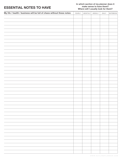#### **ESSENTIAL NOTES TO HAVE**

#### **In which section of my planner does it make sense to have them? Where will I usually look for them?**

| My life / health / business will be full of chaos without these notes: | YEARLY | MONTHLY WEEKLY | DAILY | NOTEBOOK |
|------------------------------------------------------------------------|--------|----------------|-------|----------|
|                                                                        |        |                |       |          |
|                                                                        |        |                |       |          |
|                                                                        |        |                |       |          |
|                                                                        |        |                |       |          |
|                                                                        |        |                |       |          |
|                                                                        |        |                |       |          |
|                                                                        |        |                |       |          |
|                                                                        |        |                |       |          |
|                                                                        |        |                |       |          |
|                                                                        |        |                |       |          |
|                                                                        |        |                |       |          |
|                                                                        |        |                |       |          |
|                                                                        |        |                |       |          |
|                                                                        |        |                |       |          |
|                                                                        |        |                |       |          |
|                                                                        |        |                |       |          |
|                                                                        |        |                |       |          |
|                                                                        |        |                |       |          |
|                                                                        |        |                |       |          |
|                                                                        |        |                |       |          |
|                                                                        |        |                |       |          |
|                                                                        |        |                |       |          |
|                                                                        |        |                |       |          |
|                                                                        |        |                |       |          |
|                                                                        |        |                |       |          |
|                                                                        |        |                |       |          |
|                                                                        |        |                |       |          |
|                                                                        |        |                |       |          |
|                                                                        |        |                |       |          |
|                                                                        |        |                |       |          |
|                                                                        |        |                |       |          |
|                                                                        |        |                |       |          |
|                                                                        |        |                |       |          |
|                                                                        |        |                |       |          |
|                                                                        |        |                |       |          |
|                                                                        |        |                |       |          |
|                                                                        |        |                |       |          |
|                                                                        |        |                |       |          |
|                                                                        |        |                |       |          |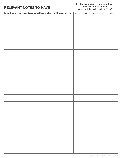#### **RELEVANT NOTES TO HAVE**

#### **In which section of my planner does it make sense to have them? Where will I usually look for them?**

| I could be more productive, and get better clarity with these notes: | YEARLY | MONTHLY | WEEKLY | DAILY | NOTEBOOK |
|----------------------------------------------------------------------|--------|---------|--------|-------|----------|
|                                                                      |        |         |        |       |          |
|                                                                      |        |         |        |       |          |
|                                                                      |        |         |        |       |          |
|                                                                      |        |         |        |       |          |
|                                                                      |        |         |        |       |          |
|                                                                      |        |         |        |       |          |
|                                                                      |        |         |        |       |          |
|                                                                      |        |         |        |       |          |
|                                                                      |        |         |        |       |          |
|                                                                      |        |         |        |       |          |
|                                                                      |        |         |        |       |          |
|                                                                      |        |         |        |       |          |
|                                                                      |        |         |        |       |          |
|                                                                      |        |         |        |       |          |
|                                                                      |        |         |        |       |          |
|                                                                      |        |         |        |       |          |
|                                                                      |        |         |        |       |          |
|                                                                      |        |         |        |       |          |
|                                                                      |        |         |        |       |          |
|                                                                      |        |         |        |       |          |
|                                                                      |        |         |        |       |          |
|                                                                      |        |         |        |       |          |
|                                                                      |        |         |        |       |          |
|                                                                      |        |         |        |       |          |
|                                                                      |        |         |        |       |          |
|                                                                      |        |         |        |       |          |
|                                                                      |        |         |        |       |          |
|                                                                      |        |         |        |       |          |
|                                                                      |        |         |        |       |          |
|                                                                      |        |         |        |       |          |
|                                                                      |        |         |        |       |          |
|                                                                      |        |         |        |       |          |
|                                                                      |        |         |        |       |          |
|                                                                      |        |         |        |       |          |
|                                                                      |        |         |        |       |          |
|                                                                      |        |         |        |       |          |
|                                                                      |        |         |        |       |          |
|                                                                      |        |         |        |       |          |
|                                                                      |        |         |        |       |          |
|                                                                      |        |         |        |       |          |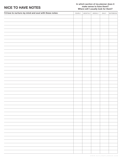#### **NICE TO HAVE NOTES**

#### **In which section of my planner does it make sense to have them? Where will I usually look for them?**

| I'd love to nurture my mind and soul with these notes: | YEARLY | MONTHLY | WEEKLY | DAILY | NOTEBOOK |
|--------------------------------------------------------|--------|---------|--------|-------|----------|
|                                                        |        |         |        |       |          |
|                                                        |        |         |        |       |          |
|                                                        |        |         |        |       |          |
|                                                        |        |         |        |       |          |
|                                                        |        |         |        |       |          |
|                                                        |        |         |        |       |          |
|                                                        |        |         |        |       |          |
|                                                        |        |         |        |       |          |
|                                                        |        |         |        |       |          |
|                                                        |        |         |        |       |          |
|                                                        |        |         |        |       |          |
|                                                        |        |         |        |       |          |
|                                                        |        |         |        |       |          |
|                                                        |        |         |        |       |          |
|                                                        |        |         |        |       |          |
|                                                        |        |         |        |       |          |
|                                                        |        |         |        |       |          |
|                                                        |        |         |        |       |          |
|                                                        |        |         |        |       |          |
|                                                        |        |         |        |       |          |
|                                                        |        |         |        |       |          |
|                                                        |        |         |        |       |          |
|                                                        |        |         |        |       |          |
|                                                        |        |         |        |       |          |
|                                                        |        |         |        |       |          |
|                                                        |        |         |        |       |          |
|                                                        |        |         |        |       |          |
|                                                        |        |         |        |       |          |
|                                                        |        |         |        |       |          |
|                                                        |        |         |        |       |          |
|                                                        |        |         |        |       |          |
|                                                        |        |         |        |       |          |
|                                                        |        |         |        |       |          |
|                                                        |        |         |        |       |          |
|                                                        |        |         |        |       |          |
|                                                        |        |         |        |       |          |
|                                                        |        |         |        |       |          |
|                                                        |        |         |        |       |          |
|                                                        |        |         |        |       |          |
|                                                        |        |         |        |       |          |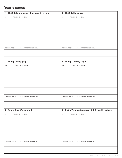### **Yearly pages**

| 1   2022 Calendar page / Calendar Overview | 2   2022 Outline page                             |
|--------------------------------------------|---------------------------------------------------|
| <b>CONTENT TO ADD ON THIS PAGE:</b>        | <b>CONTENT TO ADD ON THIS PAGE:</b>               |
|                                            |                                                   |
|                                            |                                                   |
|                                            |                                                   |
|                                            |                                                   |
|                                            |                                                   |
|                                            |                                                   |
|                                            |                                                   |
| TEMPLATES TO INCLUDE AFTER THIS PAGE:      | TEMPLATES TO INCLUDE AFTER THIS PAGE:             |
|                                            |                                                   |
|                                            |                                                   |
|                                            |                                                   |
| 3   Yearly money page                      | 4   Yearly tracking page                          |
| <b>CONTENT TO ADD ON THIS PAGE:</b>        | <b>CONTENT TO ADD ON THIS PAGE:</b>               |
|                                            |                                                   |
|                                            |                                                   |
|                                            |                                                   |
|                                            |                                                   |
|                                            |                                                   |
|                                            |                                                   |
|                                            |                                                   |
|                                            |                                                   |
| TEMPLATES TO INCLUDE AFTER THIS PAGE:      | TEMPLATES TO INCLUDE AFTER THIS PAGE:             |
|                                            |                                                   |
|                                            |                                                   |
|                                            |                                                   |
| 5   Yearly One-Win-A-Month                 | 6   End of Year review page (3-6-9-month reviews) |
| <b>CONTENT TO ADD ON THIS PAGE:</b>        | <b>CONTENT TO ADD ON THIS PAGE:</b>               |
|                                            |                                                   |
|                                            |                                                   |
|                                            |                                                   |
|                                            |                                                   |
|                                            |                                                   |
|                                            |                                                   |
|                                            |                                                   |
| TEMPLATES TO INCLUDE AFTER THIS PAGE:      | TEMPLATES TO INCLUDE AFTER THIS PAGE:             |
|                                            |                                                   |
|                                            |                                                   |
|                                            |                                                   |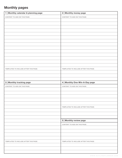## **Monthly pages**

| 1   Monthly calendar & planning page  | 2   Monthly money page                |
|---------------------------------------|---------------------------------------|
| CONTENT TO ADD ON THIS PAGE:          | CONTENT TO ADD ON THIS PAGE:          |
|                                       |                                       |
|                                       |                                       |
|                                       |                                       |
|                                       |                                       |
|                                       |                                       |
|                                       |                                       |
|                                       |                                       |
|                                       |                                       |
|                                       |                                       |
|                                       |                                       |
|                                       |                                       |
|                                       |                                       |
|                                       |                                       |
|                                       |                                       |
| TEMPLATES TO INCLUDE AFTER THIS PAGE: | TEMPLATES TO INCLUDE AFTER THIS PAGE: |
|                                       |                                       |
|                                       |                                       |
|                                       |                                       |
| 3   Monthly tracking page             | 4   Monthly One-Win-A-Day page        |
| <b>CONTENT TO ADD ON THIS PAGE:</b>   | CONTENT TO ADD ON THIS PAGE:          |
|                                       |                                       |
|                                       |                                       |
|                                       |                                       |
|                                       |                                       |
|                                       |                                       |
|                                       | TEMPLATES TO INCLUDE AFTER THIS PAGE: |
|                                       |                                       |
|                                       |                                       |
|                                       |                                       |
|                                       | 5   Monthly review page               |
|                                       | CONTENT TO ADD ON THIS PAGE:          |
|                                       |                                       |
|                                       |                                       |
|                                       |                                       |
|                                       |                                       |
| TEMPLATES TO INCLUDE AFTER THIS PAGE: | TEMPLATES TO INCLUDE AFTER THIS PAGE: |
|                                       |                                       |
|                                       |                                       |
|                                       |                                       |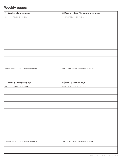## **Weekly pages**

| 1   Weekly planning page              | 2   Weekly ideas / brainstorming page |
|---------------------------------------|---------------------------------------|
| CONTENT TO ADD ON THIS PAGE:          | CONTENT TO ADD ON THIS PAGE:          |
|                                       |                                       |
|                                       |                                       |
|                                       |                                       |
|                                       |                                       |
|                                       |                                       |
|                                       |                                       |
|                                       |                                       |
|                                       |                                       |
|                                       |                                       |
|                                       |                                       |
|                                       |                                       |
|                                       |                                       |
|                                       |                                       |
|                                       |                                       |
| TEMPLATES TO INCLUDE AFTER THIS PAGE: | TEMPLATES TO INCLUDE AFTER THIS PAGE: |
|                                       |                                       |
|                                       |                                       |
|                                       |                                       |
| 3   Weekly meal plan page             | 4   Weekly results page               |
| CONTENT TO ADD ON THIS PAGE:          | CONTENT TO ADD ON THIS PAGE:          |
|                                       |                                       |
|                                       |                                       |
|                                       |                                       |
|                                       |                                       |
|                                       |                                       |
|                                       |                                       |
|                                       |                                       |
|                                       |                                       |
|                                       |                                       |
|                                       |                                       |
|                                       |                                       |
|                                       |                                       |
|                                       |                                       |
|                                       |                                       |
|                                       |                                       |
| TEMPLATES TO INCLUDE AFTER THIS PAGE: | TEMPLATES TO INCLUDE AFTER THIS PAGE: |
|                                       |                                       |
|                                       |                                       |
|                                       |                                       |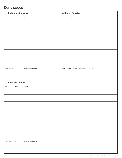## **Daily pages**

| 1   Daily planning page               | 2   Daily life notes                  |
|---------------------------------------|---------------------------------------|
| CONTENT TO ADD ON THIS PAGE:          | CONTENT TO ADD ON THIS PAGE:          |
|                                       |                                       |
|                                       |                                       |
|                                       |                                       |
|                                       |                                       |
|                                       |                                       |
|                                       |                                       |
|                                       |                                       |
|                                       |                                       |
|                                       |                                       |
|                                       |                                       |
|                                       |                                       |
|                                       |                                       |
|                                       |                                       |
|                                       |                                       |
| TEMPLATES TO INCLUDE AFTER THIS PAGE: | TEMPLATES TO INCLUDE AFTER THIS PAGE: |
|                                       |                                       |
|                                       |                                       |
|                                       |                                       |
| 3   Daily work notes                  |                                       |
| CONTENT TO ADD ON THIS PAGE:          |                                       |
|                                       |                                       |
|                                       |                                       |
|                                       |                                       |
|                                       |                                       |
|                                       |                                       |
|                                       |                                       |
|                                       |                                       |
|                                       |                                       |
|                                       |                                       |
|                                       |                                       |
|                                       |                                       |
|                                       |                                       |
|                                       |                                       |
|                                       |                                       |
|                                       |                                       |
|                                       |                                       |
| TEMPLATES TO INCLUDE AFTER THIS PAGE: |                                       |
|                                       |                                       |
|                                       |                                       |
|                                       |                                       |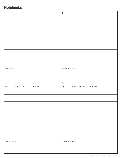#### **Notebooks**

| 1                                         | 2                                         |
|-------------------------------------------|-------------------------------------------|
| CONTENT FOR THE 12 CATEGORIES / SECTIONS: | CONTENT FOR THE 12 CATEGORIES / SECTIONS: |
|                                           |                                           |
|                                           |                                           |
|                                           |                                           |
|                                           |                                           |
|                                           |                                           |
|                                           |                                           |
|                                           |                                           |
|                                           |                                           |
|                                           |                                           |
|                                           |                                           |
|                                           |                                           |
|                                           |                                           |
|                                           |                                           |
|                                           |                                           |
| TEMPLATES TO INCLUDE:                     | TEMPLATES TO INCLUDE:                     |
|                                           |                                           |
|                                           |                                           |
|                                           |                                           |
| 3                                         | 4                                         |
| CONTENT FOR THE 12 CATEGORIES / SECTIONS: | CONTENT FOR THE 12 CATEGORIES / SECTIONS: |
|                                           |                                           |
|                                           |                                           |
|                                           |                                           |
|                                           |                                           |
|                                           |                                           |
|                                           |                                           |
|                                           |                                           |
|                                           |                                           |
|                                           |                                           |
|                                           |                                           |
|                                           |                                           |
|                                           |                                           |
|                                           |                                           |
|                                           |                                           |
|                                           |                                           |
| TEMPLATES TO INCLUDE:                     | TEMPLATES TO INCLUDE:                     |
|                                           |                                           |
|                                           |                                           |
|                                           |                                           |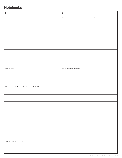#### **Notebooks**

| 5                                         | 6                                         |
|-------------------------------------------|-------------------------------------------|
| CONTENT FOR THE 12 CATEGORIES / SECTIONS: | CONTENT FOR THE 12 CATEGORIES / SECTIONS: |
|                                           |                                           |
|                                           |                                           |
|                                           |                                           |
|                                           |                                           |
|                                           |                                           |
|                                           |                                           |
|                                           |                                           |
|                                           |                                           |
|                                           |                                           |
|                                           |                                           |
|                                           |                                           |
|                                           |                                           |
|                                           |                                           |
|                                           |                                           |
| TEMPLATES TO INCLUDE:                     | TEMPLATES TO INCLUDE:                     |
|                                           |                                           |
|                                           |                                           |
|                                           |                                           |
| 7                                         |                                           |
|                                           |                                           |
| CONTENT FOR THE 12 CATEGORIES / SECTIONS: |                                           |
|                                           |                                           |
|                                           |                                           |
|                                           |                                           |
|                                           |                                           |
|                                           |                                           |
|                                           |                                           |
|                                           |                                           |
|                                           |                                           |
|                                           |                                           |
|                                           |                                           |
|                                           |                                           |
|                                           |                                           |
|                                           |                                           |
|                                           |                                           |
|                                           |                                           |
| TEMPLATES TO INCLUDE:                     |                                           |
|                                           |                                           |
|                                           |                                           |
|                                           |                                           |